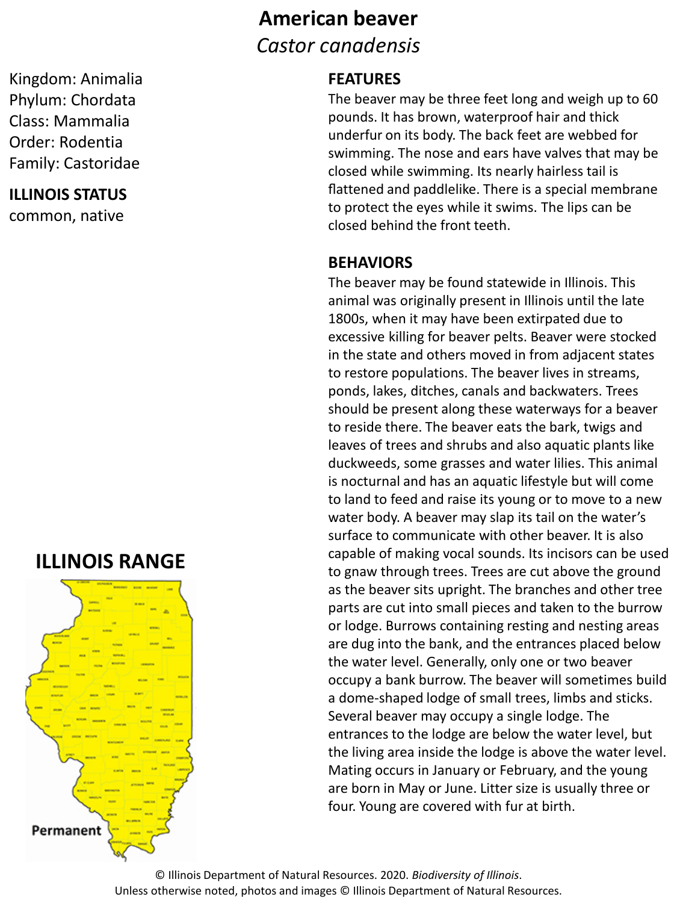## **American beaver** *Castor canadensis*

#### **FEATURES**

The beaver may be three feet long and weigh up to 60 pounds. It has brown, waterproof hair and thick underfur on its body. The back feet are webbed for swimming. The nose and ears have valves that may be closed while swimming. Its nearly hairless tail is flattened and paddlelike. There is a special membrane to protect the eyes while it swims. The lips can be closed behind the front teeth.

#### **BEHAVIORS**

The beaver may be found statewide in Illinois. This animal was originally present in Illinois until the late 1800s, when it may have been extirpated due to excessive killing for beaver pelts. Beaver were stocked in the state and others moved in from adjacent states to restore populations. The beaver lives in streams, ponds, lakes, ditches, canals and backwaters. Trees should be present along these waterways for a beaver to reside there. The beaver eats the bark, twigs and leaves of trees and shrubs and also aquatic plants like duckweeds, some grasses and water lilies. This animal is nocturnal and has an aquatic lifestyle but will come to land to feed and raise its young or to move to a new water body. A beaver may slap its tail on the water's surface to communicate with other beaver. It is also capable of making vocal sounds. Its incisors can be used to gnaw through trees. Trees are cut above the ground as the beaver sits upright. The branches and other tree parts are cut into small pieces and taken to the burrow or lodge. Burrows containing resting and nesting areas are dug into the bank, and the entrances placed below the water level. Generally, only one or two beaver occupy a bank burrow. The beaver will sometimes build a dome-shaped lodge of small trees, limbs and sticks. Several beaver may occupy a single lodge. The entrances to the lodge are below the water level, but the living area inside the lodge is above the water level. Mating occurs in January or February, and the young are born in May or June. Litter size is usually three or four. Young are covered with fur at birth.

© Illinois Department of Natural Resources. 2020. *Biodiversity of Illinois*. Unless otherwise noted, photos and images © Illinois Department of Natural Resources.

### **ILLINOIS RANGE**



#### Kingdom: Animalia Phylum: Chordata Class: Mammalia Order: Rodentia Family: Castoridae

# **ILLINOIS STATUS**

common, native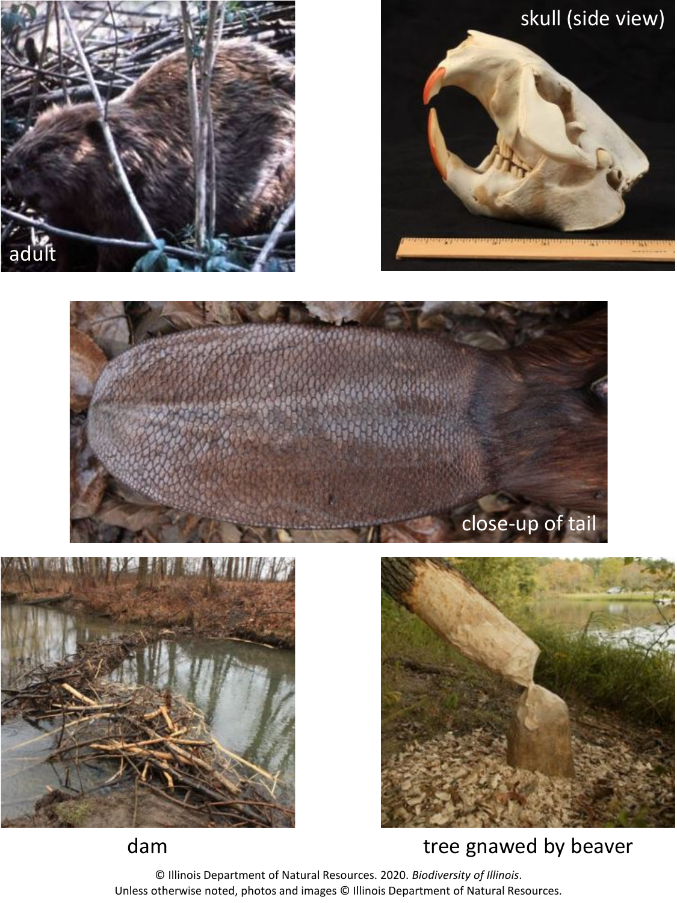









## dam dam tree gnawed by beaver

© Illinois Department of Natural Resources. 2020. *Biodiversity of Illinois*. Unless otherwise noted, photos and images © Illinois Department of Natural Resources.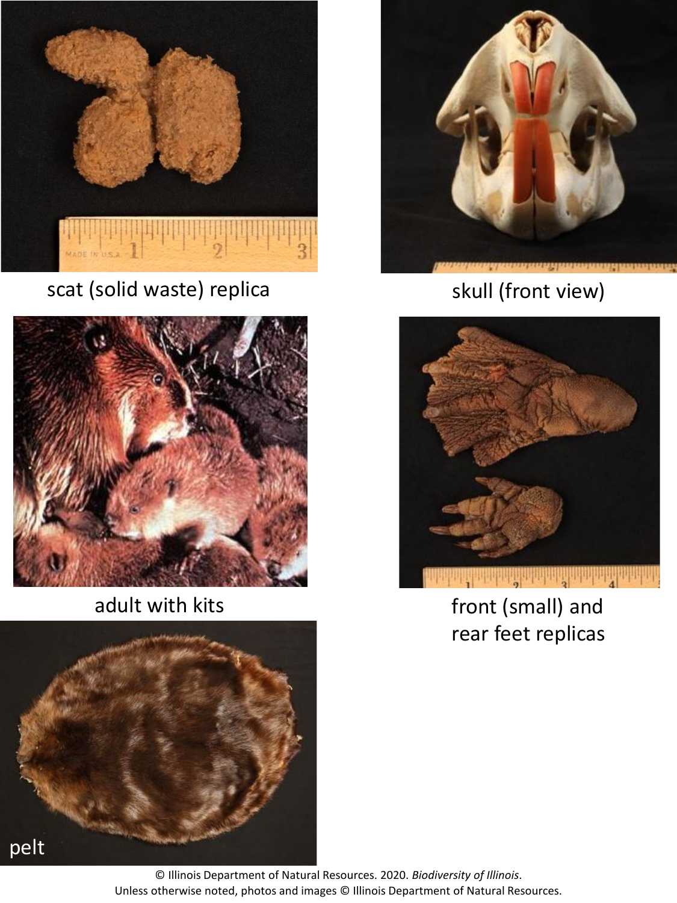

scat (solid waste) replica



adult with kits





# skull (front view)



front (small) and rear feet replicas

© Illinois Department of Natural Resources. 2020. *Biodiversity of Illinois*. Unless otherwise noted, photos and images © Illinois Department of Natural Resources.